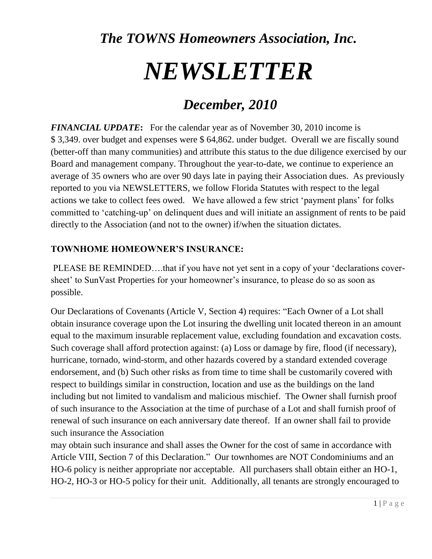# *The TOWNS Homeowners Association, Inc. NEWSLETTER*

# *December, 2010*

*FINANCIAL UPDATE***:** For the calendar year as of November 30, 2010 income is \$ 3,349. over budget and expenses were \$ 64,862. under budget. Overall we are fiscally sound (better-off than many communities) and attribute this status to the due diligence exercised by our Board and management company. Throughout the year-to-date, we continue to experience an average of 35 owners who are over 90 days late in paying their Association dues. As previously reported to you via NEWSLETTERS, we follow Florida Statutes with respect to the legal actions we take to collect fees owed. We have allowed a few strict "payment plans" for folks committed to "catching-up" on delinquent dues and will initiate an assignment of rents to be paid directly to the Association (and not to the owner) if/when the situation dictates.

# **TOWNHOME HOMEOWNER'S INSURANCE:**

PLEASE BE REMINDED….that if you have not yet sent in a copy of your "declarations coversheet' to SunVast Properties for your homeowner's insurance, to please do so as soon as possible.

Our Declarations of Covenants (Article V, Section 4) requires: "Each Owner of a Lot shall obtain insurance coverage upon the Lot insuring the dwelling unit located thereon in an amount equal to the maximum insurable replacement value, excluding foundation and excavation costs. Such coverage shall afford protection against: (a) Loss or damage by fire, flood (if necessary), hurricane, tornado, wind-storm, and other hazards covered by a standard extended coverage endorsement, and (b) Such other risks as from time to time shall be customarily covered with respect to buildings similar in construction, location and use as the buildings on the land including but not limited to vandalism and malicious mischief. The Owner shall furnish proof of such insurance to the Association at the time of purchase of a Lot and shall furnish proof of renewal of such insurance on each anniversary date thereof. If an owner shall fail to provide such insurance the Association

may obtain such insurance and shall asses the Owner for the cost of same in accordance with Article VIII, Section 7 of this Declaration." Our townhomes are NOT Condominiums and an HO-6 policy is neither appropriate nor acceptable. All purchasers shall obtain either an HO-1, HO-2, HO-3 or HO-5 policy for their unit. Additionally, all tenants are strongly encouraged to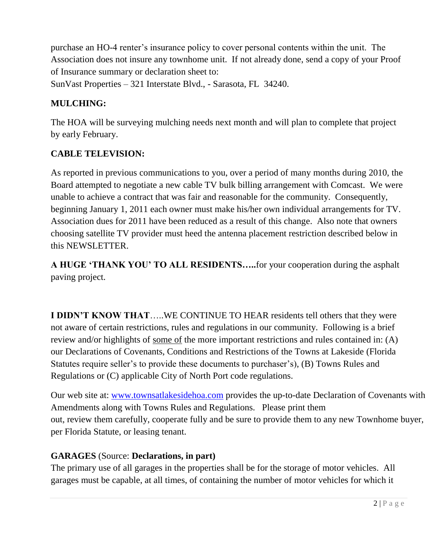purchase an HO-4 renter"s insurance policy to cover personal contents within the unit. The Association does not insure any townhome unit. If not already done, send a copy of your Proof of Insurance summary or declaration sheet to: SunVast Properties – 321 Interstate Blvd., - Sarasota, FL 34240.

# **MULCHING:**

The HOA will be surveying mulching needs next month and will plan to complete that project by early February.

# **CABLE TELEVISION:**

As reported in previous communications to you, over a period of many months during 2010, the Board attempted to negotiate a new cable TV bulk billing arrangement with Comcast. We were unable to achieve a contract that was fair and reasonable for the community. Consequently, beginning January 1, 2011 each owner must make his/her own individual arrangements for TV. Association dues for 2011 have been reduced as a result of this change. Also note that owners choosing satellite TV provider must heed the antenna placement restriction described below in this NEWSLETTER.

**A HUGE 'THANK YOU' TO ALL RESIDENTS…..**for your cooperation during the asphalt paving project.

**I DIDN'T KNOW THAT**…..WE CONTINUE TO HEAR residents tell others that they were not aware of certain restrictions, rules and regulations in our community. Following is a brief review and/or highlights of some of the more important restrictions and rules contained in: (A) our Declarations of Covenants, Conditions and Restrictions of the Towns at Lakeside (Florida Statutes require seller's to provide these documents to purchaser's), (B) Towns Rules and Regulations or (C) applicable City of North Port code regulations.

Our web site at: [www.townsatlakesidehoa.com](http://www.townsatlakesidehoa.com/) provides the up-to-date Declaration of Covenants with Amendments along with Towns Rules and Regulations. Please print them out, review them carefully, cooperate fully and be sure to provide them to any new Townhome buyer, per Florida Statute, or leasing tenant.

# **GARAGES** (Source: **Declarations, in part)**

The primary use of all garages in the properties shall be for the storage of motor vehicles. All garages must be capable, at all times, of containing the number of motor vehicles for which it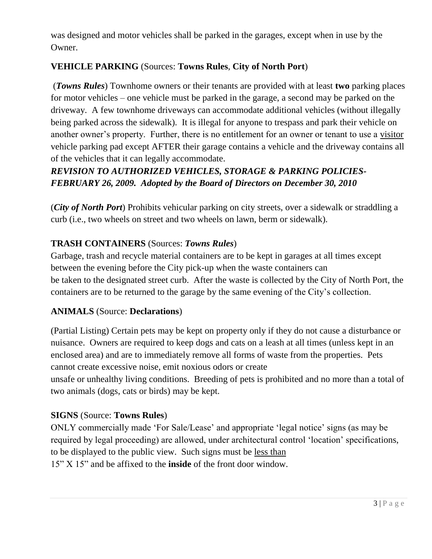was designed and motor vehicles shall be parked in the garages, except when in use by the Owner.

# **VEHICLE PARKING** (Sources: **Towns Rules**, **City of North Port**)

(*Towns Rules*) Townhome owners or their tenants are provided with at least **two** parking places for motor vehicles – one vehicle must be parked in the garage, a second may be parked on the driveway. A few townhome driveways can accommodate additional vehicles (without illegally being parked across the sidewalk). It is illegal for anyone to trespass and park their vehicle on another owner's property. Further, there is no entitlement for an owner or tenant to use a visitor vehicle parking pad except AFTER their garage contains a vehicle and the driveway contains all of the vehicles that it can legally accommodate.

# *REVISION TO AUTHORIZED VEHICLES, STORAGE & PARKING POLICIES-FEBRUARY 26, 2009. Adopted by the Board of Directors on December 30, 2010*

(*City of North Port*) Prohibits vehicular parking on city streets, over a sidewalk or straddling a curb (i.e., two wheels on street and two wheels on lawn, berm or sidewalk).

#### **TRASH CONTAINERS** (Sources: *Towns Rules*)

Garbage, trash and recycle material containers are to be kept in garages at all times except between the evening before the City pick-up when the waste containers can be taken to the designated street curb. After the waste is collected by the City of North Port, the containers are to be returned to the garage by the same evening of the City"s collection.

#### **ANIMALS** (Source: **Declarations**)

(Partial Listing) Certain pets may be kept on property only if they do not cause a disturbance or nuisance. Owners are required to keep dogs and cats on a leash at all times (unless kept in an enclosed area) and are to immediately remove all forms of waste from the properties. Pets cannot create excessive noise, emit noxious odors or create

unsafe or unhealthy living conditions. Breeding of pets is prohibited and no more than a total of two animals (dogs, cats or birds) may be kept.

#### **SIGNS** (Source: **Towns Rules**)

ONLY commercially made "For Sale/Lease" and appropriate "legal notice" signs (as may be required by legal proceeding) are allowed, under architectural control "location" specifications, to be displayed to the public view. Such signs must be less than 15" X 15" and be affixed to the **inside** of the front door window.